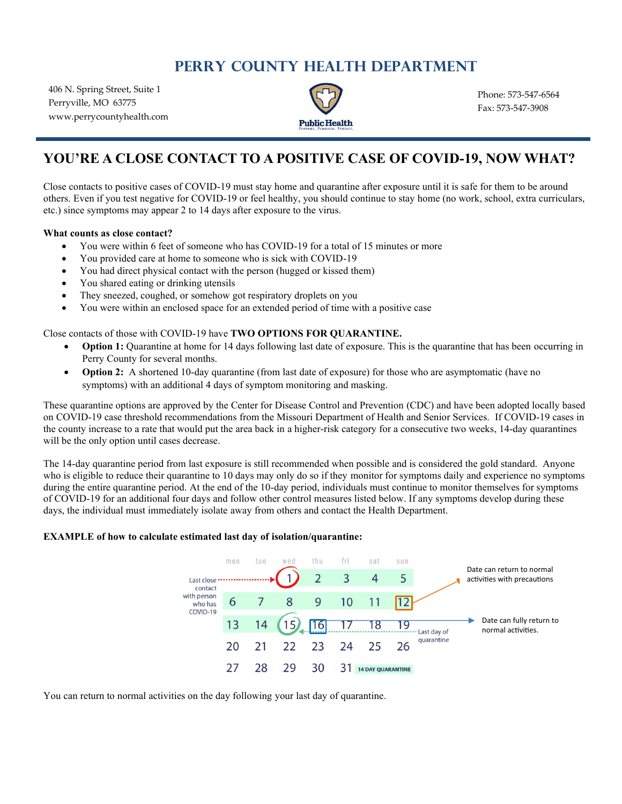# **PERRY COUNTY HEALTH DEPARTMENT**

406 N. Spring Street, Suite 1 Perryville, MO 63775 www.perrycountyhealth.com



Phone: 573-547-6564 Fax: 573-547-3908

## **YOU'RE A CLOSE CONTACT TO A POSITIVE CASE OF COVID-19, NOW WHAT?**

Close contacts to positive cases of COVID-19 must stay home and quarantine after exposure until it is safe for them to be around others. Even if you test negative for COVID-19 or feel healthy, you should continue to stay home (no work, school, extra curriculars, etc.) since symptoms may appear 2 to 14 days after exposure to the virus.

#### **What counts as close contact?**

- You were within 6 feet of someone who has COVID-19 for a total of 15 minutes or more
- You provided care at home to someone who is sick with COVID-19
- You had direct physical contact with the person (hugged or kissed them)
- You shared eating or drinking utensils
- They sneezed, coughed, or somehow got respiratory droplets on you
- You were within an enclosed space for an extended period of time with a positive case

#### Close contacts of those with COVID-19 have **TWO OPTIONS FOR QUARANTINE.**

- **Option 1:** Quarantine at home for 14 days following last date of exposure. This is the quarantine that has been occurring in Perry County for several months.
- **Option 2:** A shortened 10-day quarantine (from last date of exposure) for those who are asymptomatic (have no symptoms) with an additional 4 days of symptom monitoring and masking.

These quarantine options are approved by the Center for Disease Control and Prevention (CDC) and have been adopted locally based on COVID-19 case threshold recommendations from the Missouri Department of Health and Senior Services. If COVID-19 cases in the county increase to a rate that would put the area back in a higher-risk category for a consecutive two weeks, 14-day quarantines will be the only option until cases decrease.

The 14-day quarantine period from last exposure is still recommended when possible and is considered the gold standard. Anyone who is eligible to reduce their quarantine to 10 days may only do so if they monitor for symptoms daily and experience no symptoms during the entire quarantine period. At the end of the 10-day period, individuals must continue to monitor themselves for symptoms of COVID-19 for an additional four days and follow other control measures listed below. If any symptoms develop during these days, the individual must immediately isolate away from others and contact the Health Department.

#### **EXAMPLE of how to calculate estimated last day of isolation/quarantine:**



You can return to normal activities on the day following your last day of quarantine.